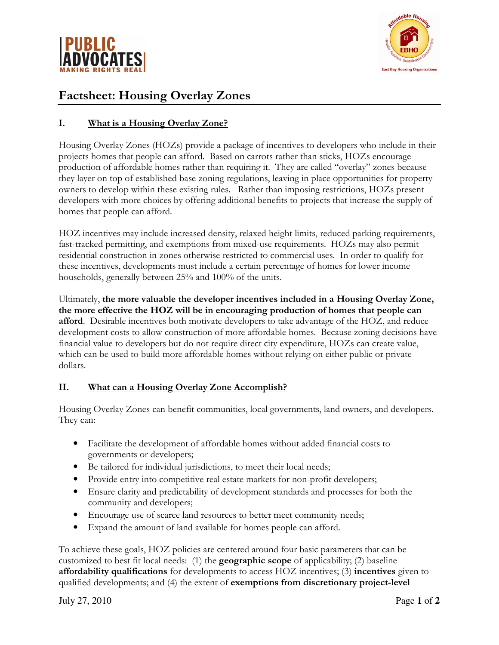



# Factsheet: Housing Overlay Zones

# I. What is a Housing Overlay Zone?

Housing Overlay Zones (HOZs) provide a package of incentives to developers who include in their projects homes that people can afford. Based on carrots rather than sticks, HOZs encourage production of affordable homes rather than requiring it. They are called "overlay" zones because they layer on top of established base zoning regulations, leaving in place opportunities for property owners to develop within these existing rules. Rather than imposing restrictions, HOZs present developers with more choices by offering additional benefits to projects that increase the supply of homes that people can afford.

HOZ incentives may include increased density, relaxed height limits, reduced parking requirements, fast-tracked permitting, and exemptions from mixed-use requirements. HOZs may also permit residential construction in zones otherwise restricted to commercial uses. In order to qualify for these incentives, developments must include a certain percentage of homes for lower income households, generally between 25% and 100% of the units.

Ultimately, the more valuable the developer incentives included in a Housing Overlay Zone, the more effective the HOZ will be in encouraging production of homes that people can afford. Desirable incentives both motivate developers to take advantage of the HOZ, and reduce development costs to allow construction of more affordable homes. Because zoning decisions have financial value to developers but do not require direct city expenditure, HOZs can create value, which can be used to build more affordable homes without relying on either public or private dollars.

# II. What can a Housing Overlay Zone Accomplish?

Housing Overlay Zones can benefit communities, local governments, land owners, and developers. They can:

- Facilitate the development of affordable homes without added financial costs to governments or developers;
- Be tailored for individual jurisdictions, to meet their local needs;
- Provide entry into competitive real estate markets for non-profit developers;
- Ensure clarity and predictability of development standards and processes for both the community and developers;
- Encourage use of scarce land resources to better meet community needs;
- Expand the amount of land available for homes people can afford.

To achieve these goals, HOZ policies are centered around four basic parameters that can be customized to best fit local needs: (1) the geographic scope of applicability; (2) baseline affordability qualifications for developments to access HOZ incentives; (3) incentives given to qualified developments; and (4) the extent of exemptions from discretionary project-level

July 27, 2010 Page **1** of **2**